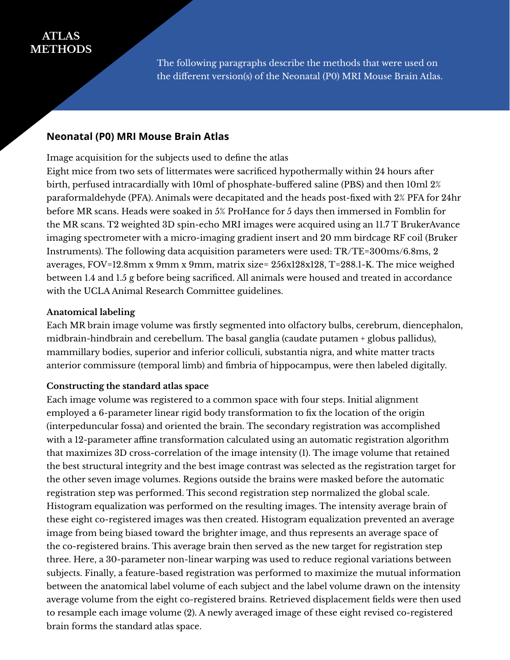# **ATLAS METHODS**

The following paragraphs describe the methods that were used on the different version(s) of the Neonatal (P0) MRI Mouse Brain Atlas.

## **Neonatal (P0) MRI Mouse Brain Atlas**

Image acquisition for the subjects used to define the atlas

Eight mice from two sets of littermates were sacrificed hypothermally within 24 hours after birth, perfused intracardially with 10ml of phosphate-buffered saline (PBS) and then 10ml 2% paraformaldehyde (PFA). Animals were decapitated and the heads post-fixed with 2% PFA for 24hr before MR scans. Heads were soaked in 5% ProHance for 5 days then immersed in Fomblin for the MR scans. T2 weighted 3D spin-echo MRI images were acquired using an 11.7 T BrukerAvance imaging spectrometer with a micro-imaging gradient insert and 20 mm birdcage RF coil (Bruker Instruments). The following data acquisition parameters were used: TR/TE=300ms/6.8ms, 2 averages, FOV=12.8mm x 9mm x 9mm, matrix size= 256x128x128, T=288.1-K. The mice weighed between 1.4 and 1.5 g before being sacrificed. All animals were housed and treated in accordance with the UCLA Animal Research Committee guidelines.

#### **Anatomical labeling**

Each MR brain image volume was firstly segmented into olfactory bulbs, cerebrum, diencephalon, midbrain-hindbrain and cerebellum. The basal ganglia (caudate putamen + globus pallidus), mammillary bodies, superior and inferior colliculi, substantia nigra, and white matter tracts anterior commissure (temporal limb) and fimbria of hippocampus, were then labeled digitally.

#### **Constructing the standard atlas space**

Each image volume was registered to a common space with four steps. Initial alignment employed a 6-parameter linear rigid body transformation to fix the location of the origin (interpeduncular fossa) and oriented the brain. The secondary registration was accomplished with a 12-parameter affine transformation calculated using an automatic registration algorithm that maximizes 3D cross-correlation of the image intensity (1). The image volume that retained the best structural integrity and the best image contrast was selected as the registration target for the other seven image volumes. Regions outside the brains were masked before the automatic registration step was performed. This second registration step normalized the global scale. Histogram equalization was performed on the resulting images. The intensity average brain of these eight co-registered images was then created. Histogram equalization prevented an average image from being biased toward the brighter image, and thus represents an average space of the co-registered brains. This average brain then served as the new target for registration step three. Here, a 30-parameter non-linear warping was used to reduce regional variations between subjects. Finally, a feature-based registration was performed to maximize the mutual information between the anatomical label volume of each subject and the label volume drawn on the intensity average volume from the eight co-registered brains. Retrieved displacement fields were then used to resample each image volume (2). A newly averaged image of these eight revised co-registered brain forms the standard atlas space.